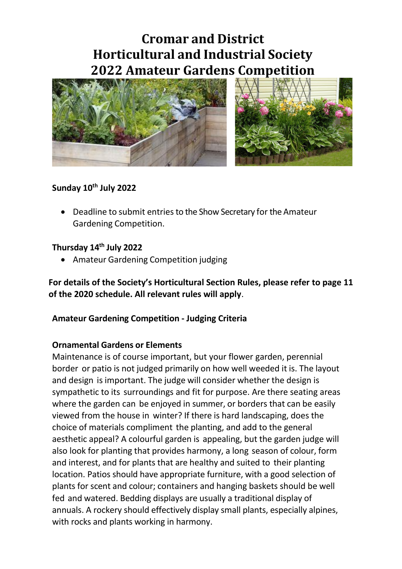# **Cromar and District Horticultural and Industrial Society 2022 Amateur Gardens Competition**



#### **Sunday 10th July 2022**

• Deadline to submit entries to the Show Secretary for the Amateur Gardening Competition.

#### **Thursday 14th July 2022**

• Amateur Gardening Competition judging

**For details of the Society's Horticultural Section Rules, please refer to page 11 of the 2020 schedule. All relevant rules will apply**.

#### **Amateur Gardening Competition - Judging Criteria**

#### **Ornamental Gardens or Elements**

Maintenance is of course important, but your flower garden, perennial border or patio is not judged primarily on how well weeded it is. The layout and design is important. The judge will consider whether the design is sympathetic to its surroundings and fit for purpose. Are there seating areas where the garden can be enjoyed in summer, or borders that can be easily viewed from the house in winter? If there is hard landscaping, does the choice of materials compliment the planting, and add to the general aesthetic appeal? A colourful garden is appealing, but the garden judge will also look for planting that provides harmony, a long season of colour, form and interest, and for plants that are healthy and suited to their planting location. Patios should have appropriate furniture, with a good selection of plants for scent and colour; containers and hanging baskets should be well fed and watered. Bedding displays are usually a traditional display of annuals. A rockery should effectively display small plants, especially alpines, with rocks and plants working in harmony.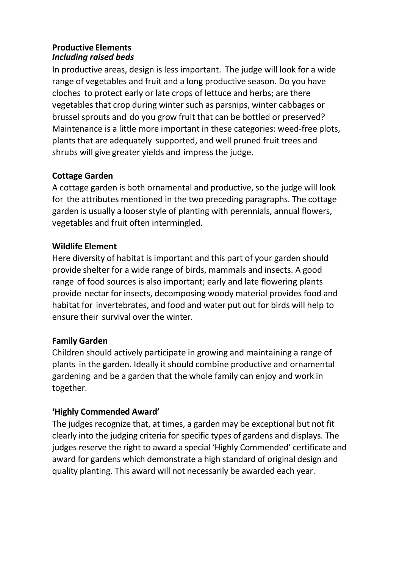#### **Productive Elements** *Including raised beds*

In productive areas, design is less important. The judge will look for a wide range of vegetables and fruit and a long productive season. Do you have cloches to protect early or late crops of lettuce and herbs; are there vegetables that crop during winter such as parsnips, winter cabbages or brussel sprouts and do you grow fruit that can be bottled or preserved? Maintenance is a little more important in these categories: weed-free plots, plants that are adequately supported, and well pruned fruit trees and shrubs will give greater yields and impress the judge.

## **Cottage Garden**

A cottage garden is both ornamental and productive, so the judge will look for the attributes mentioned in the two preceding paragraphs. The cottage garden is usually a looser style of planting with perennials, annual flowers, vegetables and fruit often intermingled.

## **Wildlife Element**

Here diversity of habitat is important and this part of your garden should provide shelter for a wide range of birds, mammals and insects. A good range of food sources is also important; early and late flowering plants provide nectar for insects, decomposing woody material provides food and habitat for invertebrates, and food and water put out for birds will help to ensure their survival over the winter.

### **Family Garden**

Children should actively participate in growing and maintaining a range of plants in the garden. Ideally it should combine productive and ornamental gardening and be a garden that the whole family can enjoy and work in together.

### **'Highly Commended Award'**

The judges recognize that, at times, a garden may be exceptional but not fit clearly into the judging criteria for specific types of gardens and displays. The judges reserve the right to award a special 'Highly Commended' certificate and award for gardens which demonstrate a high standard of original design and quality planting. This award will not necessarily be awarded each year.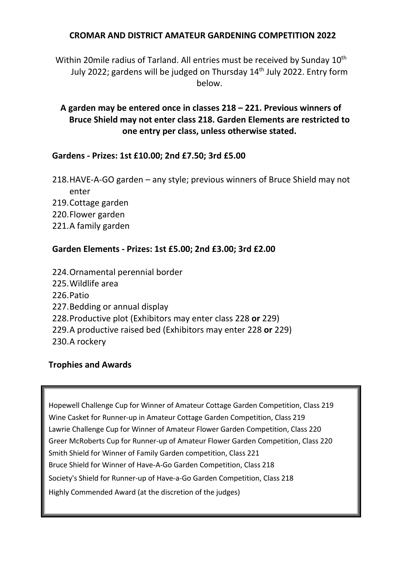#### **CROMAR AND DISTRICT AMATEUR GARDENING COMPETITION 2022**

Within 20mile radius of Tarland. All entries must be received by Sunday 10<sup>th</sup> July 2022; gardens will be judged on Thursday 14<sup>th</sup> July 2022. Entry form below.

### **A garden may be entered once in classes 218 – 221. Previous winners of Bruce Shield may not enter class 218. Garden Elements are restricted to one entry per class, unless otherwise stated.**

#### **Gardens - Prizes: 1st £10.00; 2nd £7.50; 3rd £5.00**

218.HAVE-A-GO garden – any style; previous winners of Bruce Shield may not enter 219.Cottage garden 220.Flower garden 221.A family garden

#### **Garden Elements - Prizes: 1st £5.00; 2nd £3.00; 3rd £2.00**

- 224.Ornamental perennial border
- 225.Wildlife area
- 226.Patio
- 227.Bedding or annual display
- 228.Productive plot (Exhibitors may enter class 228 **or** 229)
- 229.A productive raised bed (Exhibitors may enter 228 **or** 229)
- 230.A rockery

#### **Trophies and Awards**

Hopewell Challenge Cup for Winner of Amateur Cottage Garden Competition, Class 219 Wine Casket for Runner-up in Amateur Cottage Garden Competition, Class 219 Lawrie Challenge Cup for Winner of Amateur Flower Garden Competition, Class 220 Greer McRoberts Cup for Runner-up of Amateur Flower Garden Competition, Class 220 Smith Shield for Winner of Family Garden competition, Class 221 Bruce Shield for Winner of Have-A-Go Garden Competition, Class 218 Society's Shield for Runner-up of Have-a-Go Garden Competition, Class 218 Highly Commended Award (at the discretion of the judges)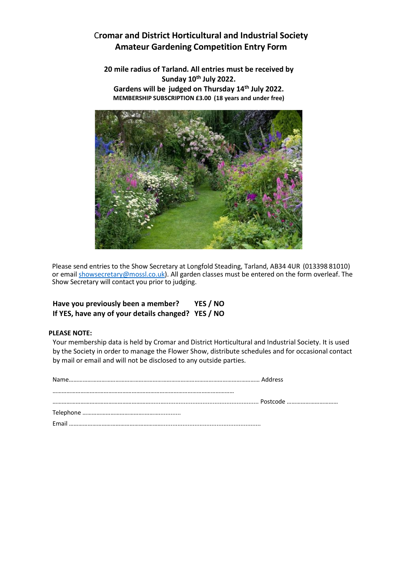#### C**romar and District Horticultural and Industrial Society Amateur Gardening Competition Entry Form**

**20 mile radius of Tarland. All entries must be received by Sunday 10th July 2022. Gardens will be judged on Thursday 14th July 2022. MEMBERSHIP SUBSCRIPTION £3.00 (18 years and under free)**



Please send entries to the Show Secretary at Longfold Steading, Tarland, AB34 4UR (013398 81010) or emai[l showsecretary@mossl.co.uk\)](mailto:showsecretary@mossl.co.uk). All garden classes must be entered on the form overleaf. The Show Secretary will contact you prior to judging.

#### **Have you previously been a member? YES / NO If YES, have any of your details changed? YES / NO**

#### **PLEASE NOTE:**

Your membership data is held by Cromar and District Horticultural and Industrial Society. It is used by the Society in order to manage the Flower Show, distribute schedules and for occasional contact by mail or email and will not be disclosed to any outside parties.